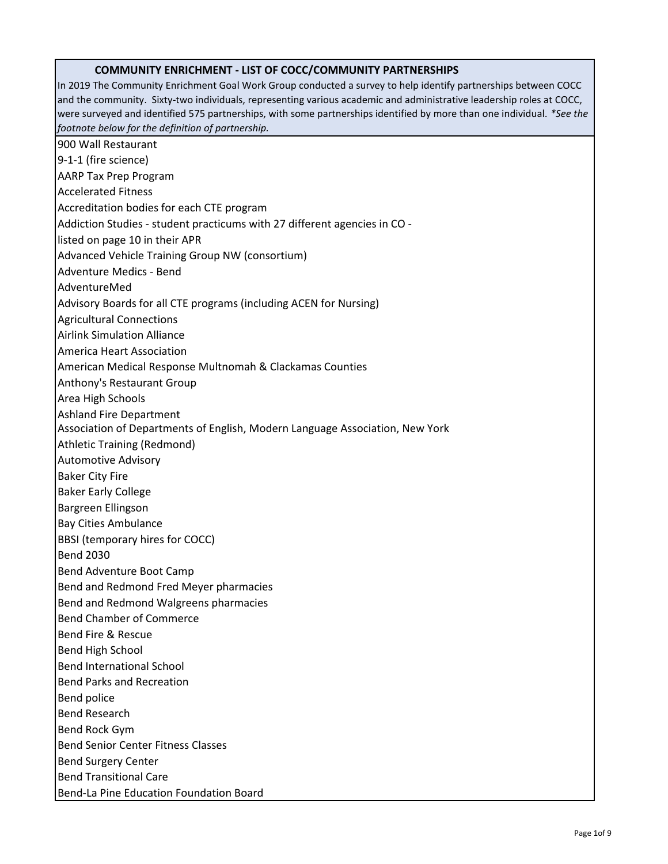## **COMMUNITY ENRICHMENT - LIST OF COCC/COMMUNITY PARTNERSHIPS**

In 2019 The Community Enrichment Goal Work Group conducted a survey to help identify partnerships between COCC and the community. Sixty-two individuals, representing various academic and administrative leadership roles at COCC, were surveyed and identified 575 partnerships, with some partnerships identified by more than one individual. *\*See the footnote below for the definition of partnership.*  900 Wall Restaurant 9-1-1 (fire science) AARP Tax Prep Program Accelerated Fitness Accreditation bodies for each CTE program Addiction Studies - student practicums with 27 different agencies in CO listed on page 10 in their APR Advanced Vehicle Training Group NW (consortium) Adventure Medics - Bend AdventureMed Advisory Boards for all CTE programs (including ACEN for Nursing) Agricultural Connections Airlink Simulation Alliance America Heart Association American Medical Response Multnomah & Clackamas Counties Anthony's Restaurant Group Area High Schools Ashland Fire Department Association of Departments of English, Modern Language Association, New York Athletic Training (Redmond) Automotive Advisory Baker City Fire Baker Early College Bargreen Ellingson Bay Cities Ambulance BBSI (temporary hires for COCC) Bend 2030 Bend Adventure Boot Camp Bend and Redmond Fred Meyer pharmacies Bend and Redmond Walgreens pharmacies Bend Chamber of Commerce Bend Fire & Rescue Bend High School Bend International School Bend Parks and Recreation Bend police Bend Research Bend Rock Gym Bend Senior Center Fitness Classes Bend Surgery Center Bend Transitional Care Bend-La Pine Education Foundation Board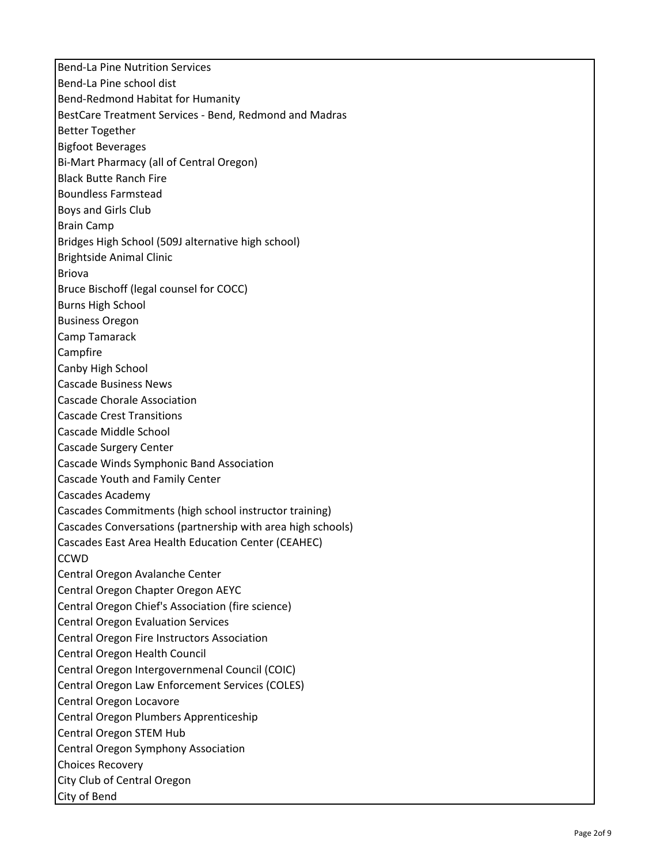Bend-La Pine Nutrition Services Bend-La Pine school dist Bend-Redmond Habitat for Humanity BestCare Treatment Services - Bend, Redmond and Madras Better Together Bigfoot Beverages Bi-Mart Pharmacy (all of Central Oregon) Black Butte Ranch Fire Boundless Farmstead Boys and Girls Club Brain Camp Bridges High School (509J alternative high school) Brightside Animal Clinic Briova Bruce Bischoff (legal counsel for COCC) Burns High School Business Oregon Camp Tamarack Campfire Canby High School Cascade Business News Cascade Chorale Association Cascade Crest Transitions Cascade Middle School Cascade Surgery Center Cascade Winds Symphonic Band Association Cascade Youth and Family Center Cascades Academy Cascades Commitments (high school instructor training) Cascades Conversations (partnership with area high schools) Cascades East Area Health Education Center (CEAHEC) **CCWD** Central Oregon Avalanche Center Central Oregon Chapter Oregon AEYC Central Oregon Chief's Association (fire science) Central Oregon Evaluation Services Central Oregon Fire Instructors Association Central Oregon Health Council Central Oregon Intergovernmenal Council (COIC) Central Oregon Law Enforcement Services (COLES) Central Oregon Locavore Central Oregon Plumbers Apprenticeship Central Oregon STEM Hub Central Oregon Symphony Association Choices Recovery City Club of Central Oregon City of Bend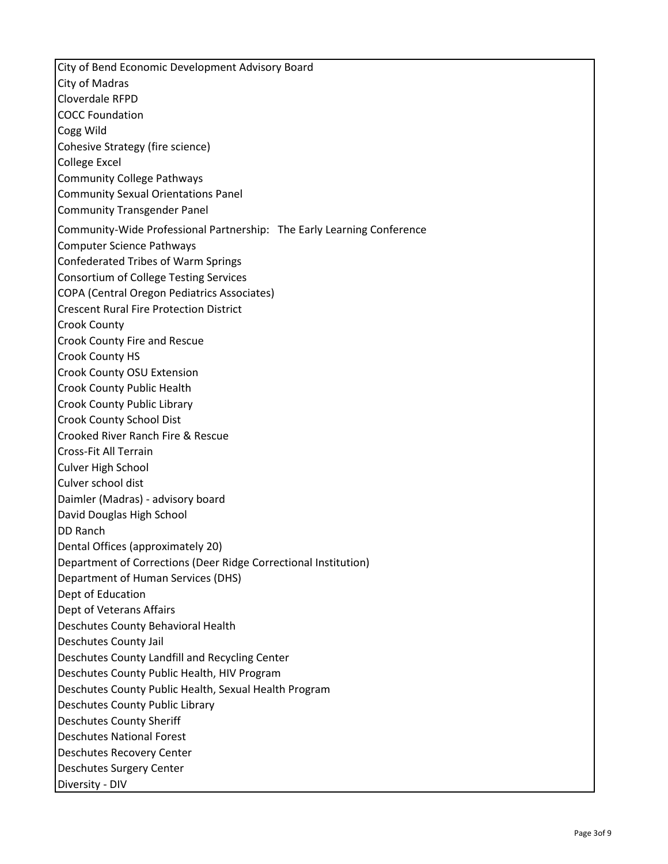City of Bend Economic Development Advisory Board City of Madras Cloverdale RFPD COCC Foundation Cogg Wild Cohesive Strategy (fire science) College Excel Community College Pathways Community Sexual Orientations Panel Community Transgender Panel Community-Wide Professional Partnership: The Early Learning Conference Computer Science Pathways Confederated Tribes of Warm Springs Consortium of College Testing Services COPA (Central Oregon Pediatrics Associates) Crescent Rural Fire Protection District Crook County Crook County Fire and Rescue Crook County HS Crook County OSU Extension Crook County Public Health Crook County Public Library Crook County School Dist Crooked River Ranch Fire & Rescue Cross-Fit All Terrain Culver High School Culver school dist Daimler (Madras) - advisory board David Douglas High School DD Ranch Dental Offices (approximately 20) Department of Corrections (Deer Ridge Correctional Institution) Department of Human Services (DHS) Dept of Education Dept of Veterans Affairs Deschutes County Behavioral Health Deschutes County Jail Deschutes County Landfill and Recycling Center Deschutes County Public Health, HIV Program Deschutes County Public Health, Sexual Health Program Deschutes County Public Library Deschutes County Sheriff Deschutes National Forest Deschutes Recovery Center Deschutes Surgery Center Diversity - DIV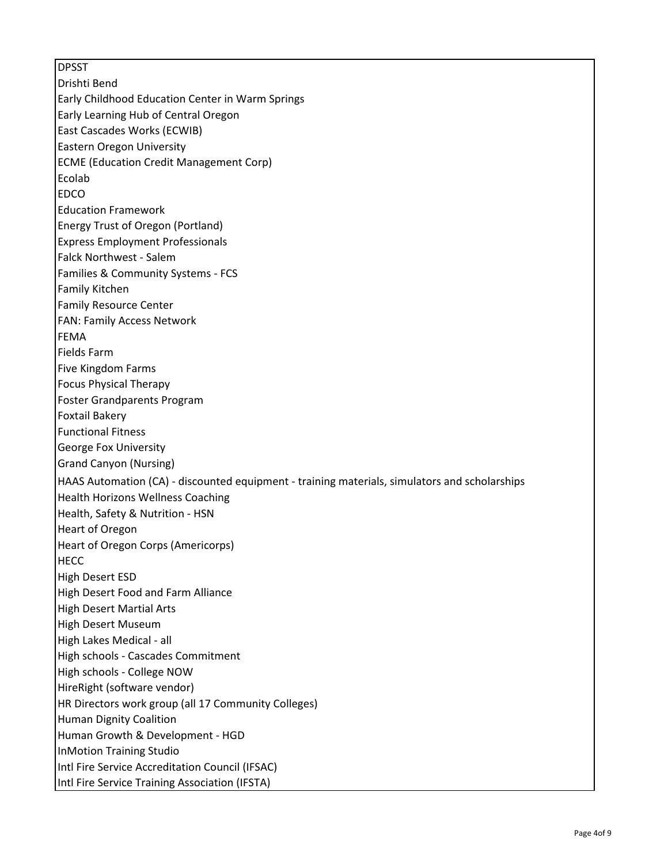DPSST Drishti Bend Early Childhood Education Center in Warm Springs Early Learning Hub of Central Oregon East Cascades Works (ECWIB) Eastern Oregon University ECME (Education Credit Management Corp) Ecolab **EDCO** Education Framework Energy Trust of Oregon (Portland) Express Employment Professionals Falck Northwest - Salem Families & Community Systems - FCS Family Kitchen Family Resource Center FAN: Family Access Network FEMA Fields Farm Five Kingdom Farms Focus Physical Therapy Foster Grandparents Program Foxtail Bakery Functional Fitness George Fox University Grand Canyon (Nursing) HAAS Automation (CA) - discounted equipment - training materials, simulators and scholarships Health Horizons Wellness Coaching Health, Safety & Nutrition - HSN Heart of Oregon Heart of Oregon Corps (Americorps) **HECC** High Desert ESD High Desert Food and Farm Alliance High Desert Martial Arts High Desert Museum High Lakes Medical - all High schools - Cascades Commitment High schools - College NOW HireRight (software vendor) HR Directors work group (all 17 Community Colleges) Human Dignity Coalition Human Growth & Development - HGD InMotion Training Studio Intl Fire Service Accreditation Council (IFSAC) Intl Fire Service Training Association (IFSTA)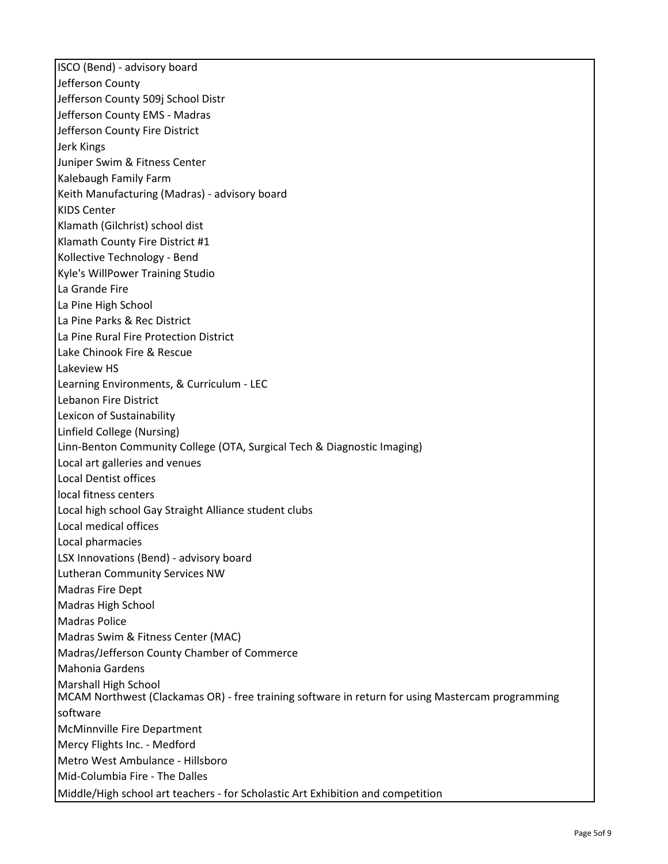ISCO (Bend) - advisory board Jefferson County Jefferson County 509j School Distr Jefferson County EMS - Madras Jefferson County Fire District Jerk Kings Juniper Swim & Fitness Center Kalebaugh Family Farm Keith Manufacturing (Madras) - advisory board KIDS Center Klamath (Gilchrist) school dist Klamath County Fire District #1 Kollective Technology - Bend Kyle's WillPower Training Studio La Grande Fire La Pine High School La Pine Parks & Rec District La Pine Rural Fire Protection District Lake Chinook Fire & Rescue Lakeview HS Learning Environments, & Curriculum - LEC Lebanon Fire District Lexicon of Sustainability Linfield College (Nursing) Linn-Benton Community College (OTA, Surgical Tech & Diagnostic Imaging) Local art galleries and venues Local Dentist offices local fitness centers Local high school Gay Straight Alliance student clubs Local medical offices Local pharmacies LSX Innovations (Bend) - advisory board Lutheran Community Services NW Madras Fire Dept Madras High School Madras Police Madras Swim & Fitness Center (MAC) Madras/Jefferson County Chamber of Commerce Mahonia Gardens Marshall High School MCAM Northwest (Clackamas OR) - free training software in return for using Mastercam programming software McMinnville Fire Department Mercy Flights Inc. - Medford Metro West Ambulance - Hillsboro Mid-Columbia Fire - The Dalles Middle/High school art teachers - for Scholastic Art Exhibition and competition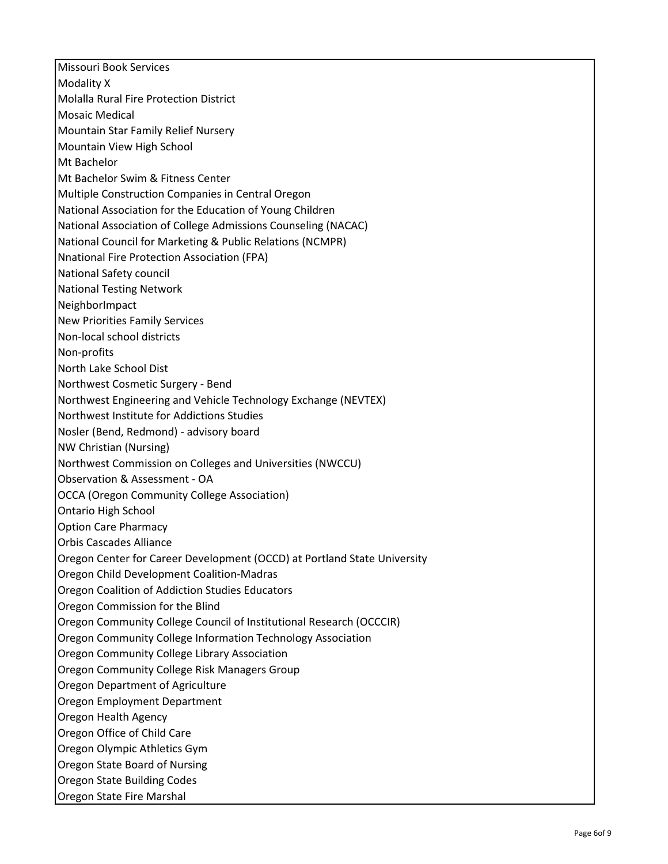Missouri Book Services Modality X Molalla Rural Fire Protection District Mosaic Medical Mountain Star Family Relief Nursery Mountain View High School Mt Bachelor Mt Bachelor Swim & Fitness Center Multiple Construction Companies in Central Oregon National Association for the Education of Young Children National Association of College Admissions Counseling (NACAC) National Council for Marketing & Public Relations (NCMPR) Nnational Fire Protection Association (FPA) National Safety council National Testing Network NeighborImpact New Priorities Family Services Non-local school districts Non-profits North Lake School Dist Northwest Cosmetic Surgery - Bend Northwest Engineering and Vehicle Technology Exchange (NEVTEX) Northwest Institute for Addictions Studies Nosler (Bend, Redmond) - advisory board NW Christian (Nursing) Northwest Commission on Colleges and Universities (NWCCU) Observation & Assessment - OA OCCA (Oregon Community College Association) Ontario High School Option Care Pharmacy Orbis Cascades Alliance Oregon Center for Career Development (OCCD) at Portland State University Oregon Child Development Coalition-Madras Oregon Coalition of Addiction Studies Educators Oregon Commission for the Blind Oregon Community College Council of Institutional Research (OCCCIR) Oregon Community College Information Technology Association Oregon Community College Library Association Oregon Community College Risk Managers Group Oregon Department of Agriculture Oregon Employment Department Oregon Health Agency Oregon Office of Child Care Oregon Olympic Athletics Gym Oregon State Board of Nursing Oregon State Building Codes Oregon State Fire Marshal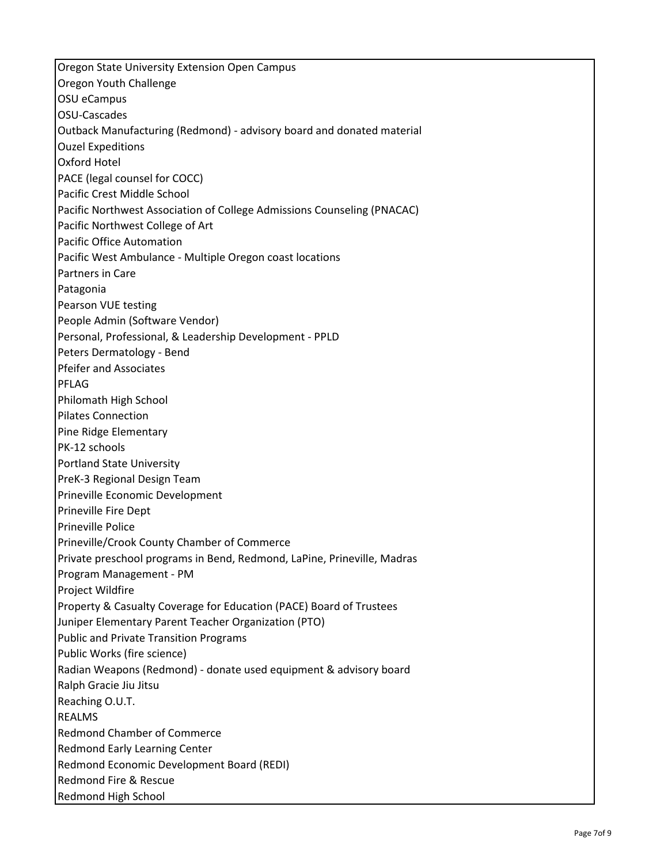Oregon State University Extension Open Campus Oregon Youth Challenge OSU eCampus OSU-Cascades Outback Manufacturing (Redmond) - advisory board and donated material Ouzel Expeditions Oxford Hotel PACE (legal counsel for COCC) Pacific Crest Middle School Pacific Northwest Association of College Admissions Counseling (PNACAC) Pacific Northwest College of Art Pacific Office Automation Pacific West Ambulance - Multiple Oregon coast locations Partners in Care Patagonia Pearson VUE testing People Admin (Software Vendor) Personal, Professional, & Leadership Development - PPLD Peters Dermatology - Bend Pfeifer and Associates PFLAG Philomath High School Pilates Connection Pine Ridge Elementary PK-12 schools Portland State University PreK-3 Regional Design Team Prineville Economic Development Prineville Fire Dept Prineville Police Prineville/Crook County Chamber of Commerce Private preschool programs in Bend, Redmond, LaPine, Prineville, Madras Program Management - PM Project Wildfire Property & Casualty Coverage for Education (PACE) Board of Trustees Juniper Elementary Parent Teacher Organization (PTO) Public and Private Transition Programs Public Works (fire science) Radian Weapons (Redmond) - donate used equipment & advisory board Ralph Gracie Jiu Jitsu Reaching O.U.T. REALMS Redmond Chamber of Commerce Redmond Early Learning Center Redmond Economic Development Board (REDI) Redmond Fire & Rescue Redmond High School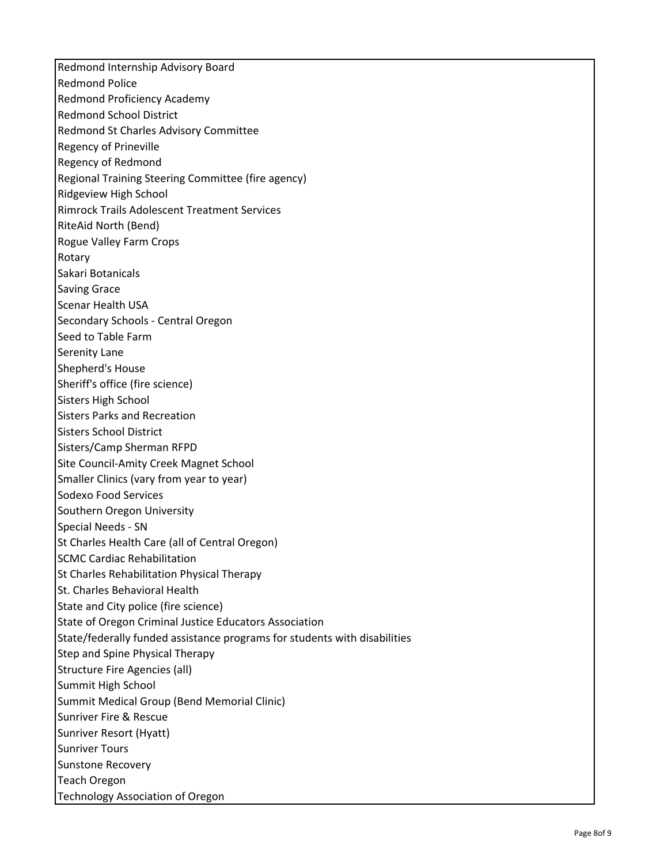Redmond Internship Advisory Board Redmond Police Redmond Proficiency Academy Redmond School District Redmond St Charles Advisory Committee Regency of Prineville Regency of Redmond Regional Training Steering Committee (fire agency) Ridgeview High School Rimrock Trails Adolescent Treatment Services RiteAid North (Bend) Rogue Valley Farm Crops Rotary Sakari Botanicals Saving Grace Scenar Health USA Secondary Schools - Central Oregon Seed to Table Farm Serenity Lane Shepherd's House Sheriff's office (fire science) Sisters High School Sisters Parks and Recreation Sisters School District Sisters/Camp Sherman RFPD Site Council-Amity Creek Magnet School Smaller Clinics (vary from year to year) Sodexo Food Services Southern Oregon University Special Needs - SN St Charles Health Care (all of Central Oregon) SCMC Cardiac Rehabilitation St Charles Rehabilitation Physical Therapy St. Charles Behavioral Health State and City police (fire science) State of Oregon Criminal Justice Educators Association State/federally funded assistance programs for students with disabilities Step and Spine Physical Therapy Structure Fire Agencies (all) Summit High School Summit Medical Group (Bend Memorial Clinic) Sunriver Fire & Rescue Sunriver Resort (Hyatt) Sunriver Tours Sunstone Recovery Teach Oregon Technology Association of Oregon